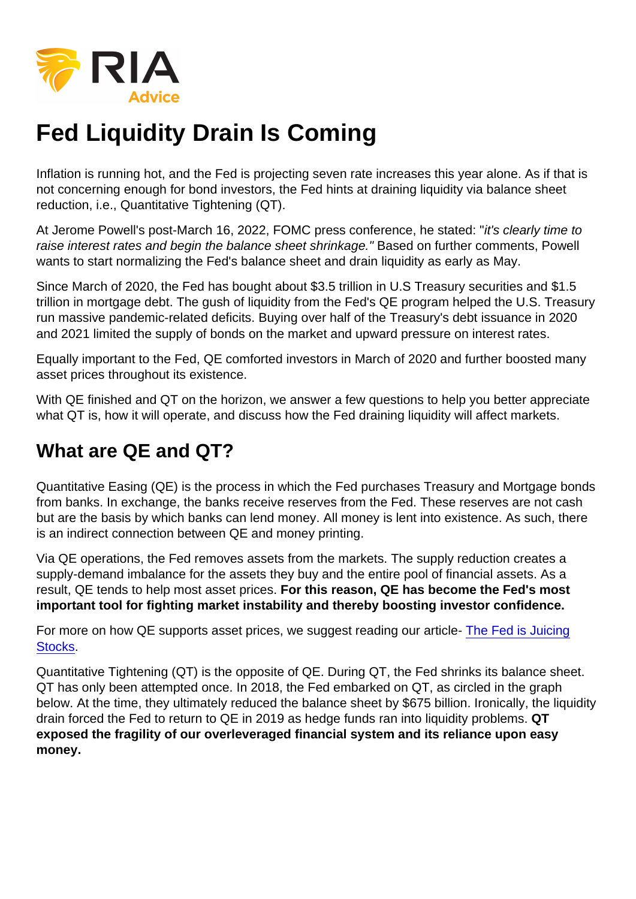Inflation is running hot, and the Fed is projecting seven rate increases this year alone. As if that is not concerning enough for bond investors, the Fed hints at draining liquidity via balance sheet reduction, i.e., Quantitative Tightening (QT).

At Jerome Powell's post-March 16, 2022, FOMC press conference, he stated: "it's clearly time to raise interest rates and begin the balance sheet shrinkage." Based on further comments, Powell wants to start normalizing the Fed's balance sheet and drain liquidity as early as May.

Since March of 2020, the Fed has bought about \$3.5 trillion in U.S Treasury securities and \$1.5 trillion in mortgage debt. The gush of liquidity from the Fed's QE program helped the U.S. Treasury run massive pandemic-related deficits. Buying over half of the Treasury's debt issuance in 2020 and 2021 limited the supply of bonds on the market and upward pressure on interest rates.

Equally important to the Fed, QE comforted investors in March of 2020 and further boosted many asset prices throughout its existence.

With QE finished and QT on the horizon, we answer a few questions to help you better appreciate what QT is, how it will operate, and discuss how the Fed draining liquidity will affect markets.

# What are QE and QT?

Quantitative Easing (QE) is the process in which the Fed purchases Treasury and Mortgage bonds from banks. In exchange, the banks receive reserves from the Fed. These reserves are not cash but are the basis by which banks can lend money. All money is lent into existence. As such, there is an indirect connection between QE and money printing.

Via QE operations, the Fed removes assets from the markets. The supply reduction creates a supply-demand imbalance for the assets they buy and the entire pool of financial assets. As a result, QE tends to help most asset prices. For this reason, QE has become the Fed's most important tool for fighting market instability and thereby boosting investor confidence.

For more on how QE supports asset prices, we suggest reading our article- [The Fed is Juicing](https://realinvestmentadvice.com/the-fed-is-juicing-stocks/) [Stocks](https://realinvestmentadvice.com/the-fed-is-juicing-stocks/).

Quantitative Tightening (QT) is the opposite of QE. During QT, the Fed shrinks its balance sheet. QT has only been attempted once. In 2018, the Fed embarked on QT, as circled in the graph below. At the time, they ultimately reduced the balance sheet by \$675 billion. Ironically, the liquidity drain forced the Fed to return to QE in 2019 as hedge funds ran into liquidity problems. QT exposed the fragility of our overleveraged financial system and its reliance upon easy money.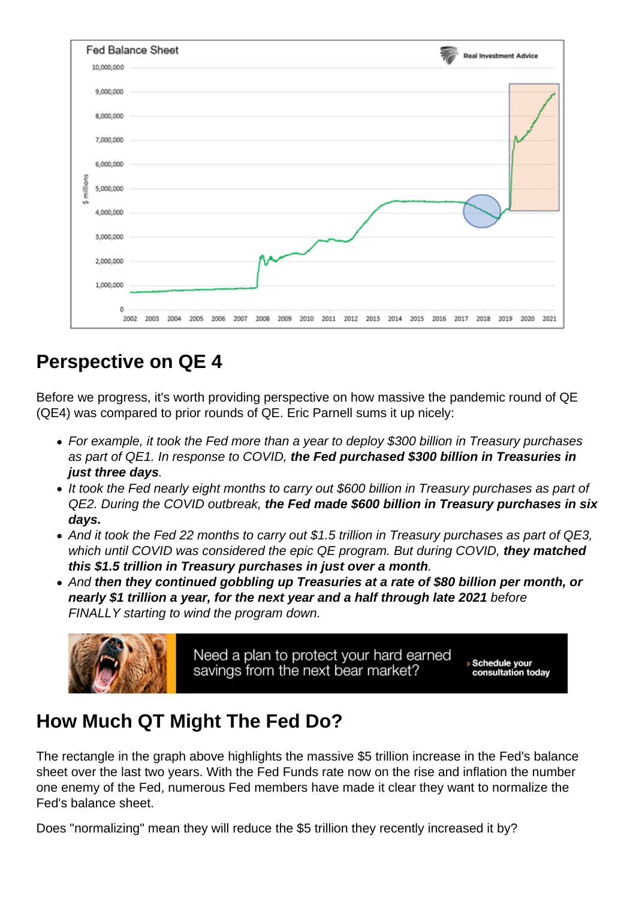## Perspective on QE 4

Before we progress, it's worth providing perspective on how massive the pandemic round of QE (QE4) was compared to prior rounds of QE. Eric Parnell sums it up nicely:

- For example, it took the Fed more than a year to deploy \$300 billion in Treasury purchases as part of QE1. In response to COVID, the Fed purchased \$300 billion in Treasuries in just three days .
- It took the Fed nearly eight months to carry out \$600 billion in Treasury purchases as part of QE2. During the COVID outbreak, the Fed made \$600 billion in Treasury purchases in six days.
- And it took the Fed 22 months to carry out \$1.5 trillion in Treasury purchases as part of QE3, which until COVID was considered the epic QE program. But during COVID, they matched this \$1.5 trillion in Treasury purchases in just over a month .
- And then they continued gobbling up Treasuries at a rate of \$80 billion per month, or nearly \$1 trillion a year, for the next year and a half through late 2021 before FINALLY starting to wind the program down.

# How Much QT Might The Fed Do?

The rectangle in the graph above highlights the massive \$5 trillion increase in the Fed's balance sheet over the last two years. With the Fed Funds rate now on the rise and inflation the number one enemy of the Fed, numerous Fed members have made it clear they want to normalize the Fed's balance sheet.

Does "normalizing" mean they will reduce the \$5 trillion they recently increased it by?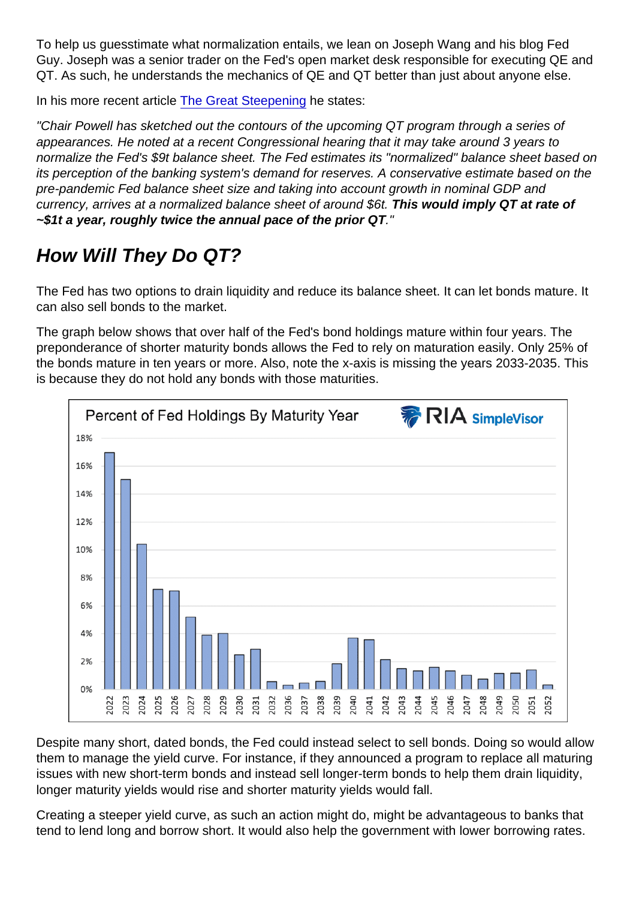To help us guesstimate what normalization entails, we lean on Joseph Wang and his blog Fed Guy. Joseph was a senior trader on the Fed's open market desk responsible for executing QE and QT. As such, he understands the mechanics of QE and QT better than just about anyone else.

In his more recent article [The Great Steepening](https://fedguy.com/the-great-steepening/) he states:

"Chair Powell has sketched out the contours of the upcoming QT program through a series of appearances. He noted at a recent Congressional hearing that it may take around 3 years to normalize the Fed's \$9t balance sheet. The Fed estimates its "normalized" balance sheet based on its perception of the banking system's demand for reserves. A conservative estimate based on the pre-pandemic Fed balance sheet size and taking into account growth in nominal GDP and currency, arrives at a normalized balance sheet of around \$6t. This would imply QT at rate of  $\sim$ \$1t a year, roughly twice the annual pace of the prior QT  $\ldots$ "

# How Will They Do QT?

The Fed has two options to drain liquidity and reduce its balance sheet. It can let bonds mature. It can also sell bonds to the market.

The graph below shows that over half of the Fed's bond holdings mature within four years. The preponderance of shorter maturity bonds allows the Fed to rely on maturation easily. Only 25% of the bonds mature in ten years or more. Also, note the x-axis is missing the years 2033-2035. This is because they do not hold any bonds with those maturities.

Despite many short, dated bonds, the Fed could instead select to sell bonds. Doing so would allow them to manage the yield curve. For instance, if they announced a program to replace all maturing issues with new short-term bonds and instead sell longer-term bonds to help them drain liquidity, longer maturity yields would rise and shorter maturity yields would fall.

Creating a steeper yield curve, as such an action might do, might be advantageous to banks that tend to lend long and borrow short. It would also help the government with lower borrowing rates.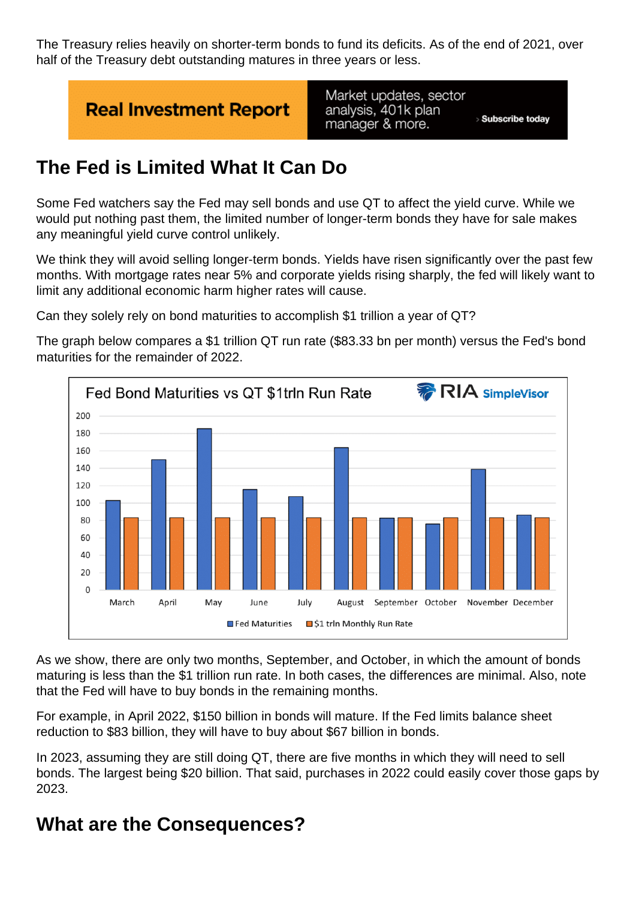The Treasury relies heavily on shorter-term bonds to fund its deficits. As of the end of 2021, over half of the Treasury debt outstanding matures in three years or less.

## The Fed is Limited What It Can Do

Some Fed watchers say the Fed may sell bonds and use QT to affect the yield curve. While we would put nothing past them, the limited number of longer-term bonds they have for sale makes any meaningful yield curve control unlikely.

We think they will avoid selling longer-term bonds. Yields have risen significantly over the past few months. With mortgage rates near 5% and corporate yields rising sharply, the fed will likely want to limit any additional economic harm higher rates will cause.

Can they solely rely on bond maturities to accomplish \$1 trillion a year of QT?

The graph below compares a \$1 trillion QT run rate (\$83.33 bn per month) versus the Fed's bond maturities for the remainder of 2022.

As we show, there are only two months, September, and October, in which the amount of bonds maturing is less than the \$1 trillion run rate. In both cases, the differences are minimal. Also, note that the Fed will have to buy bonds in the remaining months.

For example, in April 2022, \$150 billion in bonds will mature. If the Fed limits balance sheet reduction to \$83 billion, they will have to buy about \$67 billion in bonds.

In 2023, assuming they are still doing QT, there are five months in which they will need to sell bonds. The largest being \$20 billion. That said, purchases in 2022 could easily cover those gaps by 2023.

#### What are the Consequences?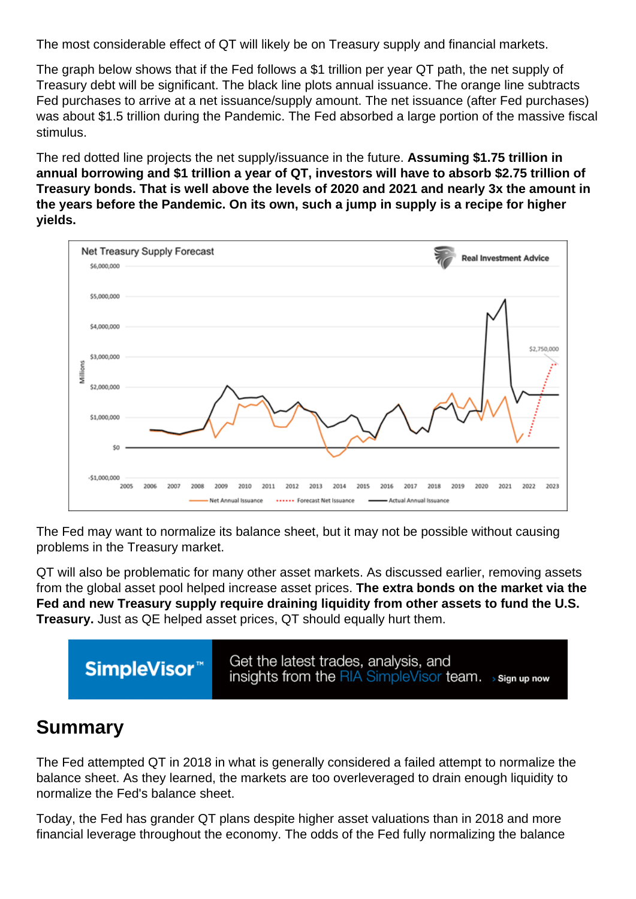The most considerable effect of QT will likely be on Treasury supply and financial markets.

The graph below shows that if the Fed follows a \$1 trillion per year QT path, the net supply of Treasury debt will be significant. The black line plots annual issuance. The orange line subtracts Fed purchases to arrive at a net issuance/supply amount. The net issuance (after Fed purchases) was about \$1.5 trillion during the Pandemic. The Fed absorbed a large portion of the massive fiscal stimulus.

The red dotted line projects the net supply/issuance in the future. Assuming \$1.75 trillion in annual borrowing and \$1 trillion a year of QT, investors will have to absorb \$2.75 trillion of Treasury bonds. That is well above the levels of 2020 and 2021 and nearly 3x the amount in the years before the Pandemic. On its own, such a jump in supply is a recipe for higher yields.

The Fed may want to normalize its balance sheet, but it may not be possible without causing problems in the Treasury market.

QT will also be problematic for many other asset markets. As discussed earlier, removing assets from the global asset pool helped increase asset prices. The extra bonds on the market via the Fed and new Treasury supply require draining liquidity from other assets to fund the U.S. Treasury. Just as QE helped asset prices, QT should equally hurt them.

## Summary

The Fed attempted QT in 2018 in what is generally considered a failed attempt to normalize the balance sheet. As they learned, the markets are too overleveraged to drain enough liquidity to normalize the Fed's balance sheet.

Today, the Fed has grander QT plans despite higher asset valuations than in 2018 and more financial leverage throughout the economy. The odds of the Fed fully normalizing the balance